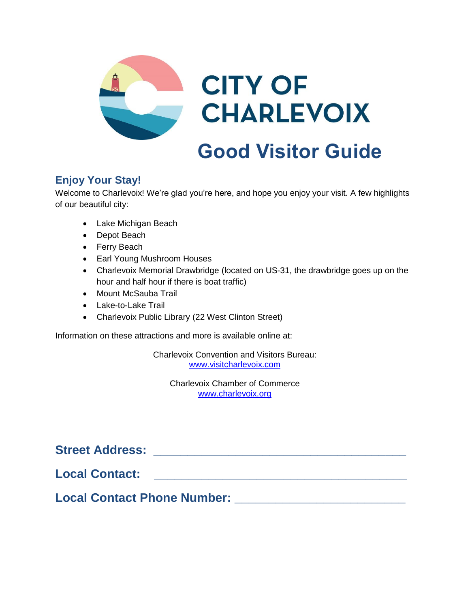

# **Enjoy Your Stay!**

Welcome to Charlevoix! We're glad you're here, and hope you enjoy your visit. A few highlights of our beautiful city:

- Lake Michigan Beach
- Depot Beach
- Ferry Beach
- Earl Young Mushroom Houses
- Charlevoix Memorial Drawbridge (located on US-31, the drawbridge goes up on the hour and half hour if there is boat traffic)
- Mount McSauba Trail
- Lake-to-Lake Trail
- Charlevoix Public Library (22 West Clinton Street)

Information on these attractions and more is available online at:

Charlevoix Convention and Visitors Bureau: [www.visitcharlevoix.com](http://www.visitcharlevoix.com/)

Charlevoix Chamber of Commerce [www.charlevoix.org](http://www.charlevoix.org/)

**Street Address: \_\_\_\_\_\_\_\_\_\_\_\_\_\_\_\_\_\_\_\_\_\_\_\_\_\_\_\_\_\_\_\_\_\_\_\_\_** 

**Local Contact: \_\_\_\_\_\_\_\_\_\_\_\_\_\_\_\_\_\_\_\_\_\_\_\_\_\_\_\_\_\_\_\_\_\_\_\_\_**

**Local Contact Phone Number: Local Contact Phone Number:**